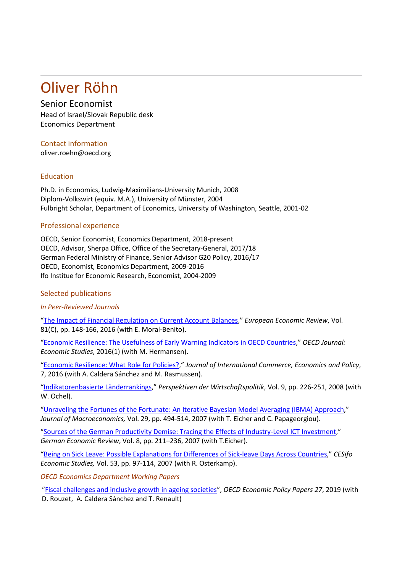# Oliver Röhn

## Senior Economist

Head of Israel/Slovak Republic desk Economics Department

### Contact information

oliver.roehn@oecd.org

#### Education

Ph.D. in Economics, Ludwig-Maximilians-University Munich, 2008 Diplom-Volkswirt (equiv. M.A.), University of Münster, 2004 Fulbright Scholar, Department of Economics, University of Washington, Seattle, 2001-02

#### Professional experience

OECD, Senior Economist, Economics Department, 2018-present OECD, Advisor, Sherpa Office, Office of the Secretary-General, 2017/18 German Federal Ministry of Finance, Senior Advisor G20 Policy, 2016/17 OECD, Economist, Economics Department, 2009-2016 Ifo Institue for Economic Research, Economist, 2004-2009

#### Selected publications

#### *In Peer-Reviewed Journals*

["The Impact of Financial Regulation on Current Account Balances,](https://ideas.repec.org/a/eee/eecrev/v81y2016icp148-166.html)" *European Economic Review*, Vol. 81(C), pp. 148-166, 2016 (with E. Moral-Benito).

["Economic Resilience: The Usefulness of Early Warning Indicators in OECD Countries,](https://ideas.repec.org/a/oec/ecokac/5jg2ppjrd6r3.html)" *OECD Journal: Economic Studies*, 2016(1) (with M. Hermansen).

["Economic Resilience: What Role for Policies?,](https://ideas.repec.org/a/wsi/jicepx/v07y2016i02ns1793993316500095.html)" *Journal of International Commerce, Economics and Policy*, 7, 2016 (with A. Caldera Sánchez and M. Rasmussen).

["Indikatorenbasierte Länderrankings,](http://ideas.repec.org/a/bla/perwir/v9y2008i2p226-251.html)" *Perspektiven der Wirtschaftspolitik*, Vol. 9, pp. 226-251, 2008 (with W. Ochel).

["Unraveling the Fortunes of the Fortunate: An Iterative Bayesian Model Averaging \(IBMA\) Approach,](http://ideas.repec.org/a/eee/jmacro/v29y2007i3p494-514.html)" *Journal of Macroeconomics,* Vol. 29, pp. 494-514, 2007 (with T. Eicher and C. Papageorgiou).

["Sources of the German Productivity Demise: Tracing the Effects of Industry-Level ICT Investment,](http://ideas.repec.org/a/bla/germec/v8y2007ip211-236.html)" *German Economic Review*, Vol. 8, pp. 211–236, 2007 (with T.Eicher).

["Being on Sick Leave: Possible Explanations for Differences of Sick-leave Days Across Countries,](http://ideas.repec.org/a/oup/cesifo/v53y2007i1p97-114.html)" *CESifo Economic Studies,* Vol. 53, pp. 97-114, 2007 (with R. Osterkamp).

*OECD Economics Department Working Papers*

["Fiscal challenges and inclusive growth in ageing societies"](https://www.oecd-ilibrary.org/economics/fiscal-challenges-and-inclusive-growth-in-ageing-societies_c553d8d2-en), *OECD Economic Policy Papers 27*, 2019 (with D. Rouzet, A. Caldera Sánchez and T. Renault)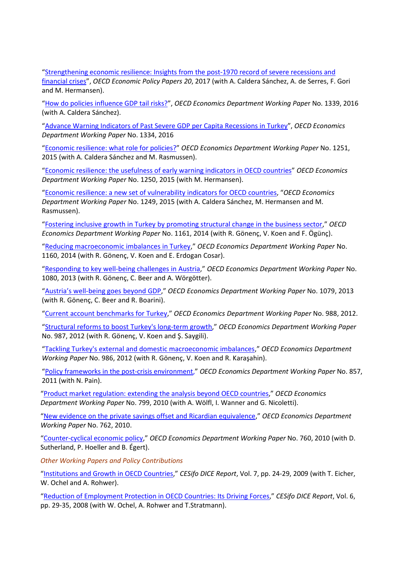["Strengthening economic resilience: Insights from the post-1970 record of severe recessions and](https://www.oecd-ilibrary.org/economics/strengthening-economic-resilience_6b748a4b-en)  [financial crises"](https://www.oecd-ilibrary.org/economics/strengthening-economic-resilience_6b748a4b-en), *OECD Economic Policy Papers 20*, 2017 (with A. Caldera Sánchez, A. de Serres, F. Gori and M. Hermansen).

["How do policies influence GDP tail risks?"](https://www.oecd-ilibrary.org/economics/how-do-policies-influence-gdp-tail-risks_5jln0428l1wl-en), *OECD Economics Department Working Pape*r No. 1339, 2016 (with A. Caldera Sánchez).

["Advance Warning Indicators of Past Severe GDP per Capita Recessions in Turkey"](https://www.oecd-ilibrary.org/economics/advance-warning-indicators-of-past-severe-gdp-per-capita-recessions-in-turkey_5jlpq7swq4wf-en), *OECD Economics Department Working Paper* No. 1334, 2016

["Economic resilience: what role for policies?"](http://www.oecd-ilibrary.org/economics/economic-resilience-what-role-for-policies_5jrxhgf61q5j-en) *OECD Economics Department Working Paper* No. 1251, 2015 (with A. Caldera Sánchez and M. Rasmussen).

["Economic resilience: the usefulness of early warning indicators in OECD countries"](http://www.oecd-ilibrary.org/economics/economic-resilience-the-usefulness-of-early-warning-indicators-in-oecd-countries_5jrxhgfqx3mv-en) *OECD Economics Department Working Paper* No. 1250, 2015 (with M. Hermansen).

["Economic resilience: a new set of vulnerability indicators for OECD countries,](http://www.oecd-ilibrary.org/economics/economic-resilience-a-new-set-of-vulnerability-indicators-for-oecd-countries_5jrxhgjw54r8-en) "*OECD Economics Department Working Paper* No. 1249, 2015 (with A. Caldera Sánchez, M. Hermansen and M. Rasmussen).

["Fostering inclusive growth in Turkey by promoting structural change in the business sector,](http://www.oecd-ilibrary.org/economics/fostering-inclusive-growth-in-turkey-by-promoting-structural-change-in-the-business-sector_5jxx0554v07c-en)" *OECD Economics Department Working Paper* No. 1161, 2014 (with R. Gönenç, V. Koen and F. Ögünç).

["Reducing macroeconomic imbalances in Turkey,](http://www.oecd-ilibrary.org/economics/reducing-macroeconomic-imbalances-in-turkey_5jxx055pjf0x-en)" *OECD Economics Department Working Paper* No. 1160, 2014 (with R. Gönenç, V. Koen and E. Erdogan Cosar).

["Responding to key well-being challenges in Austria,](http://www.oecd-ilibrary.org/economics/responding-to-key-well-being-challenges-in-austria_5k42210gg9g5-en)" *OECD Economics Department Working Paper* No. 1080, 2013 (with R. Gönenç, C. Beer and A. Wörgötter).

["Austria's well-being goes beyond GDP,](http://www.oecd-ilibrary.org/economics/austria-s-well-being-goes-beyond-gdp_5k422133hjnv-en)" *OECD Economics Department Working Paper* No. 1079, 2013 (with R. Gönenç, C. Beer and R. Boarini).

["Current account benchmarks for Turkey,](http://www.oecd-ilibrary.org/economics/current-account-benchmarks-for-turkey_5k92smtqp9vk-en)" *OECD Economics Department Working Paper* No. 988, 2012.

["Structural reforms to boost Turkey's long-term growth,](http://www.oecd-ilibrary.org/economics/structural-reforms-to-boost-turkey-s-long-term-growth_5k92smv7cnjl-en)" *OECD Economics Department Working Paper* No. 987, 2012 (with R. Gönenç, V. Koen and Ş. Saygili).

["Tackling Turkey's external and domestic macroeconomic imbalances,](http://www.oecd-ilibrary.org/economics/tackling-turkey-s-external-and-domestic-macroeconomic-imbalances_5k92smvqbb8v-en)" *OECD Economics Department Working Paper* No. 986, 2012 (with R. Gönenç, V. Koen and R. Karaşahin).

"Policy [frameworks in the](http://www.oecd-ilibrary.org/economics/policy-frameworks-in-the-post-crisis-environment_5kgdpn1w9lkb-en) post-crisis environment," *OECD Economics Department Working Paper* No. 857, 2011 (with N. Pain).

["Product market regulation: extending the analysis beyond OECD countries,](http://www.oecd.org/officialdocuments/displaydocumentpdf?cote=eco/wkp(2010)55&doclanguage=en)" *OECD Economics Department Working Paper* No. 799, 2010 (with A. Wölfl, I. Wanner and G. Nicoletti).

["New evidence on the private savings offset and Ricardian equivalence,](http://www.oecd.org/officialdocuments/displaydocumentpdf?cote=ECO/WKP(2010)18&doclanguage=en)" *OECD Economics Department Working Paper* No. 762, 2010.

["Counter-cyclical economic policy,](http://www.oecd.org/officialdocuments/displaydocumentpdf?cote=ECO/WKP(2010)16&doclanguage=en)" *OECD Economics Department Working Paper* No. 760, 2010 (with D. Sutherland, P. Hoeller and B. Égert).

*Other Working Papers and Policy Contributions*

["Institutions and Growth in OECD Countries,](http://ideas.repec.org/a/ces/ifodic/v7y2009i2p24-29.html)" *CESifo DICE Report*, Vol. 7, pp. 24-29, 2009 (with T. Eicher, W. Ochel and A. Rohwer).

["Reduction of Employment Protection in OECD Countries: Its Driving Forces,](http://ideas.repec.org/a/ces/ifodic/v6y2008i4p29-35.html)" *CESifo DICE Report*, Vol. 6, pp. 29-35, 2008 (with W. Ochel, A. Rohwer and T.Stratmann).